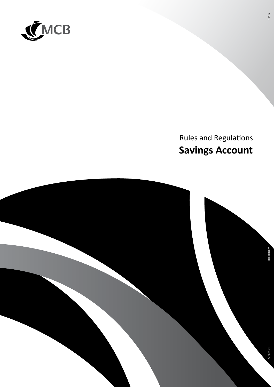

# **Rules and Regulations Savings Account**

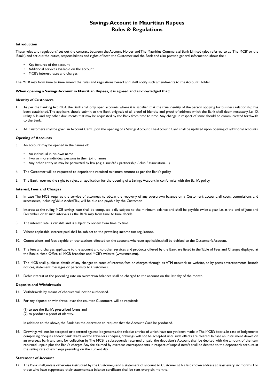# **Savings Account in Mauritian Rupees Rules & Regulations**

## **Introduction**

These rules and regulations\* set out the contract between the Account Holder and The Mauritius Commercial Bank Limited (also referred to as 'The MCB' or the 'Bank') and set out the duties, responsibilities and rights of both the Customer and the Bank and also provide general information about the :

- Key features of the account
- Additional services available on the account
- MCB's interest rates and charges

The MCB may from time to time amend the rules and regulations hereof and shall notify such amendments to the Account Holder.

#### **When opening a Savings Account in Mauritian Rupees, it is agreed and acknowledged that:**

#### **Identity of Customers**

- 1. As per the Banking Act 2004, the Bank shall only open accounts where it is satisfied that the true identity of the person applying for business relationship has been established. The applicant should submit to the Bank originals of all proof of identity and proof of address which the Bank shall deem necessary, i.e. ID, utility bills and any other documents that may be requested by the Bank from time to time. Any change in respect of same should be communicated forthwith to the Bank.
- 2. All Customers shall be given an Account Card upon the opening of a Savings Account. The Account Card shall be updated upon opening of additional accounts.

#### **Opening of Accounts**

- 3. An account may be opened in the names of:
	- An individual in his own name
	- Two or more individual persons in their joint names
	- Any other entity as may be permitted by law (e.g. a société / partnership / club / association…)
- 4. The Customer will be requested to deposit the required minimum amount as per the Bank's policy.
- 5. The Bank reserves the right to reject an application for the opening of a Savings Account in conformity with the Bank's policy.

#### **Interest, Fees and Charges**

- 6. In case The MCB requires the service of attorneys to obtain the recovery of any overdrawn balance on a Customer's account, all costs, commissions and accessories, including Value Added Tax, will be due and payable by the Customer.
- 7. Interest at the ruling MCB savings rate shall be computed daily subject to the minimum balance and shall be payable twice a year i.e. at the end of June and December or at such intervals as the Bank may from time to time decide.
- 8. The interest rate is variable and is subject to review from time to time.
- 9. Where applicable, interest paid shall be subject to the prevailing income tax regulations.
- 10. Commissions and fees payable on transactions effected on the account, wherever applicable, shall be debited to the Customer's Account.
- 11. The fees and charges applicable to the account and to other services and products offered by the Bank are listed in the Table of Fees and Charges displayed at the Bank's Head Office, all MCB branches and MCB's website (www.mcb.mu).
- 12. The MCB shall publicise details of any changes to rates of interest, fees or charges through its ATM network or website, or by press advertisements, branch notices, statement messages or personally to Customers.
- 13. Debit interest at the prevailing rate on overdrawn balances shall be charged to the account on the last day of the month.

#### **Deposits and Withdrawals**

- 14. Withdrawals by means of cheques will not be authorised.
- 15. For any deposit or withdrawal over the counter, Customers will be required:
	- (1) to use the Bank's prescribed forms and (2) to produce a proof of identity.

In addition to the above, the Bank has the discretion to request that the Account Card be produced.

16. Drawings will not be accepted or operated against lodgements, the relative entries of which have not yet been made in The MCB's books. In case of lodgements comprising cheques and/or bank drafts and/or travellers cheques, drawings will not be accepted until such effects are cleared. In case an instrument drawn on an overseas bank and sent for collection by The MCB is subsequently returned unpaid, the depositor's Account shall be debited with the amount of the item returned unpaid plus the Bank's charges. Any fee claimed by overseas correspondents in respect of unpaid item/s shall be debited to the depositor's account at the selling rate of exchange prevailing on the current day.

#### **Statement of Account**

17. The Bank shall, unless otherwise instructed by the Customer, send a statement of account to Customer at his last known address at least every six months. For those who have suppressed their statements, a balance certificate shall be sent every six months.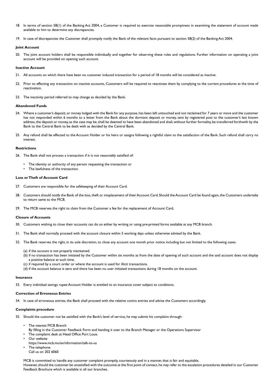- 18. In terms of section 58(1) of the Banking Act 2004, a Customer is required to exercise reasonable promptness in examining the statement of account made available to him to determine any discrepancies.
- 19. In case of discrepancies the Customer shall promptly notify the Bank of the relevant facts pursuant to section 58(2) of the Banking Act 2004.

#### **Joint Account**

20. The joint account holders shall be responsible individually and together for observing these rules and regulations. Further information on operating a joint account will be provided on opening such account.

#### **Inactive Account**

- 21. All accounts on which there have been no customer induced transaction for a period of 18 months will be considered as inactive.
- 22. Prior to effecting any transaction on inactive accounts, Customers will be required to reactivate them by complying to the current procedures at the time of reactivation.
- 23. The inactivity period referred to may change as decided by the Bank.

#### **Abandoned Funds**

- 24. Where a customer's deposit, or money lodged with the Bank for any purpose, has been left untouched and not reclaimed for 7 years or more and the customer has not responded within 6 months to a letter from the Bank about the dormant deposit or money, sent by registered post to the customer's last known address, the deposit or money, as the case may be, shall be deemed to have been abandoned and shall, without further formality, be transferred forthwith by the Bank to the Central Bank to be dealt with as decided by the Central Bank.
- 25. Any refund shall be effected to the Account Holder or his heirs or assigns following a rightful claim to the satisfaction of the Bank. Such refund shall carry no interest.

## **Restrictions**

- 26. The Bank shall not process a transaction if it is not reasonably satisfied of:
	- The identity or authority of any person requesting the transaction or
	- The lawfulness of the transaction.

# **Loss or Theft of Account Card**

- 27. Customers are responsible for the safekeeping of their Account Card.
- 28. Customers should notify the Bank of the loss, theft or misplacement of their Account Card. Should the Account Card be found again, the Customers undertake to return same to the MCB.
- 29. The MCB reserves the right to claim from the Customer a fee for the replacement of Account Card.

#### **Closure of Accounts**

- 30. Customers wishing to close their accounts can do so either by writing or using pre-printed forms available at any MCB branch.
- 31. The Bank shall normally proceed with the account closure within 5 working days unless otherwise advised by the Bank.
- 32. The Bank reserves the right, in its sole discretion, to close any account one month prior notice including but not limited to the following cases:
	- (a) if the account is not properly maintained.
	- (b) if no transaction has been initiated by the Customer within six months as from the date of opening of such account and the said account does not display
		- a positive balance at such time.
	- (c) if required by a court order or where the account is used for illicit transactions.
	- (d) if the account balance is zero and there has been no user initiated transactions during 18 months on the account.

#### **Insurance**

33. Every individual savings rupee Account Holder is entitled to an insurance cover subject to conditions.

# **Correction of Erroneous Entries**

34. In case of erroneous entries, the Bank shall proceed with the relative contra entries and advise the Customers accordingly.

# **Complaints procedure**

- 35. Should the customer not be satisfied with the Bank's level of service, he may submit his complaint through:
	- The nearest MCB Branch
	- By filling in the Customer Feedback Form and handing it over to the Branch Manager or the Operations Supervisor
	- The complaint desk at Head Office Port Louis
	- Our website
	- https://www.mcb.mu/en/nformation/talk-to-us The telephone
	- Call us on 202 6060

MCB is committed to handle any customer complaint promptly, courteously and in a manner, that is fair and equitable.

 However, should the customer be unsatisfied with the outcome at the first point of contact, he may refer to the escalation procedures detailed in our Customer Feedback Brochure which is available in all our branches.